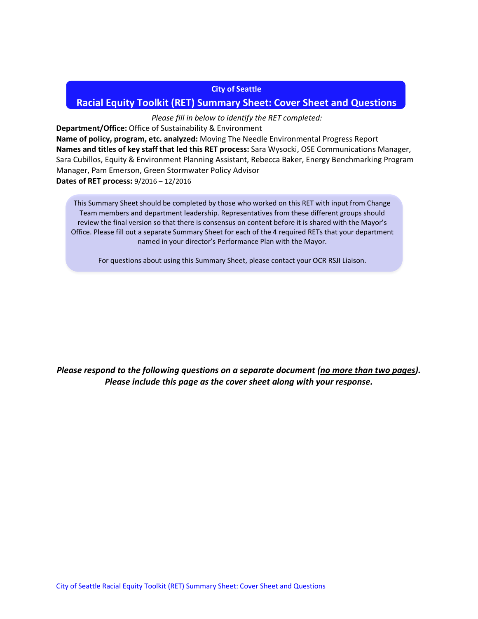#### **City of Seattle**

## **Racial Equity Toolkit (RET) Summary Sheet: Cover Sheet and Questions**

## *Please fill in below to identify the RET completed:*

**Department/Office:** Office of Sustainability & Environment **Name of policy, program, etc. analyzed:** Moving The Needle Environmental Progress Report **Names and titles of key staff that led this RET process:** Sara Wysocki, OSE Communications Manager, Sara Cubillos, Equity & Environment Planning Assistant, Rebecca Baker, Energy Benchmarking Program Manager, Pam Emerson, Green Stormwater Policy Advisor **Dates of RET process:** 9/2016 – 12/2016

This Summary Sheet should be completed by those who worked on this RET with input from Change Team members and department leadership. Representatives from these different groups should review the final version so that there is consensus on content before it is shared with the Mayor's Office. Please fill out a separate Summary Sheet for each of the 4 required RETs that your department named in your director's Performance Plan with the Mayor.

For questions about using this Summary Sheet, please contact your OCR RSJI Liaison.

*Please respond to the following questions on a separate document (no more than two pages). Please include this page as the cover sheet along with your response.*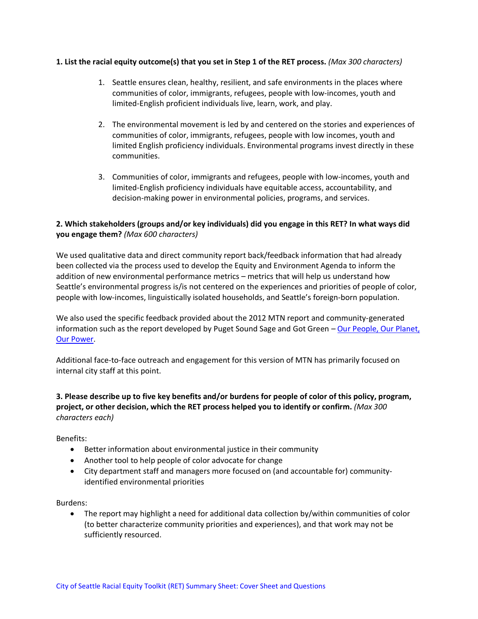#### **1. List the racial equity outcome(s) that you set in Step 1 of the RET process.** *(Max 300 characters)*

- 1. Seattle ensures clean, healthy, resilient, and safe environments in the places where communities of color, immigrants, refugees, people with low-incomes, youth and limited-English proficient individuals live, learn, work, and play.
- 2. The environmental movement is led by and centered on the stories and experiences of communities of color, immigrants, refugees, people with low incomes, youth and limited English proficiency individuals. Environmental programs invest directly in these communities.
- 3. Communities of color, immigrants and refugees, people with low-incomes, youth and limited-English proficiency individuals have equitable access, accountability, and decision-making power in environmental policies, programs, and services.

# **2. Which stakeholders (groups and/or key individuals) did you engage in this RET? In what ways did you engage them?** *(Max 600 characters)*

We used qualitative data and direct community report back/feedback information that had already been collected via the process used to develop the Equity and Environment Agenda to inform the addition of new environmental performance metrics – metrics that will help us understand how Seattle's environmental progress is/is not centered on the experiences and priorities of people of color, people with low-incomes, linguistically isolated households, and Seattle's foreign-born population.

We also used the specific feedback provided about the 2012 MTN report and community-generated information such as the report developed by Puget Sound Sage and Got Green - Our People, Our Planet, [Our Power.](http://gotgreenseattle.org/wp-content/uploads/2016/03/OurPeopleOurPlanetOurPower_GotGreen_Sage_Final1.pdf)

Additional face-to-face outreach and engagement for this version of MTN has primarily focused on internal city staff at this point.

**3. Please describe up to five key benefits and/or burdens for people of color of this policy, program, project, or other decision, which the RET process helped you to identify or confirm.** *(Max 300 characters each)*

Benefits:

- Better information about environmental justice in their community
- Another tool to help people of color advocate for change
- City department staff and managers more focused on (and accountable for) communityidentified environmental priorities

Burdens:

• The report may highlight a need for additional data collection by/within communities of color (to better characterize community priorities and experiences), and that work may not be sufficiently resourced.